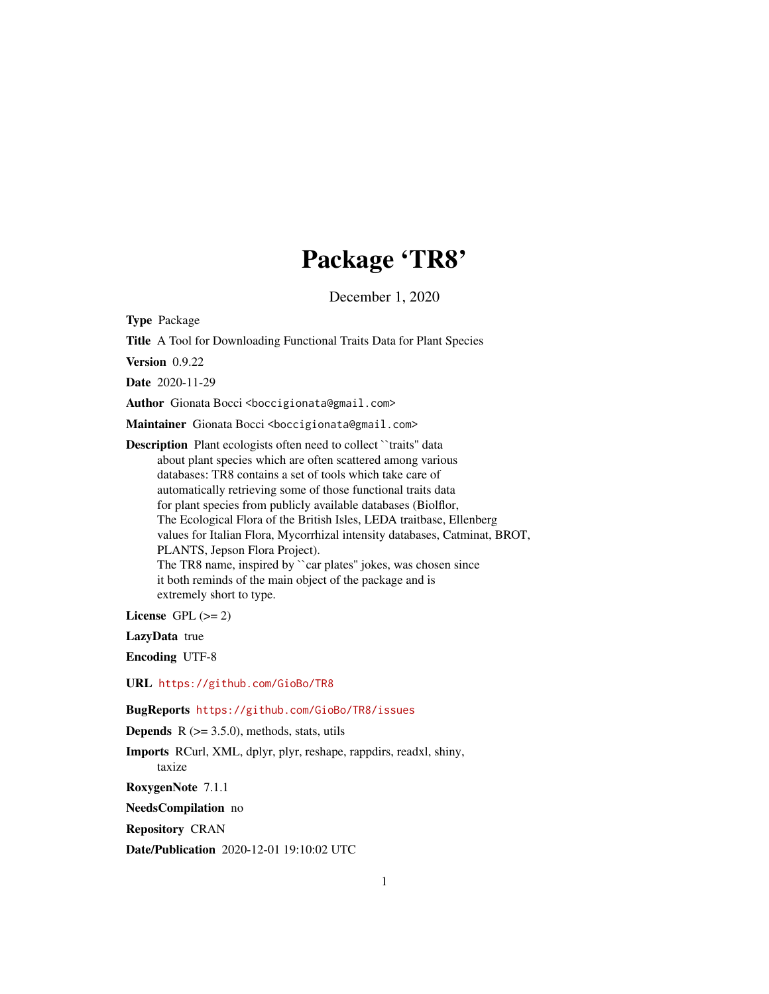# Package 'TR8'

December 1, 2020

Type Package

Title A Tool for Downloading Functional Traits Data for Plant Species

Version 0.9.22

Date 2020-11-29

Author Gionata Bocci <bookingionata@gmail.com>

Maintainer Gionata Bocci <br/>boccigionata@gmail.com>

Description Plant ecologists often need to collect "traits" data about plant species which are often scattered among various databases: TR8 contains a set of tools which take care of automatically retrieving some of those functional traits data for plant species from publicly available databases (Biolflor, The Ecological Flora of the British Isles, LEDA traitbase, Ellenberg values for Italian Flora, Mycorrhizal intensity databases, Catminat, BROT, PLANTS, Jepson Flora Project). The TR8 name, inspired by ``car plates'' jokes, was chosen since it both reminds of the main object of the package and is extremely short to type.

License GPL  $(>= 2)$ 

LazyData true

Encoding UTF-8

URL <https://github.com/GioBo/TR8>

BugReports <https://github.com/GioBo/TR8/issues>

**Depends** R  $(>= 3.5.0)$ , methods, stats, utils

Imports RCurl, XML, dplyr, plyr, reshape, rappdirs, readxl, shiny, taxize

RoxygenNote 7.1.1

NeedsCompilation no

Repository CRAN

Date/Publication 2020-12-01 19:10:02 UTC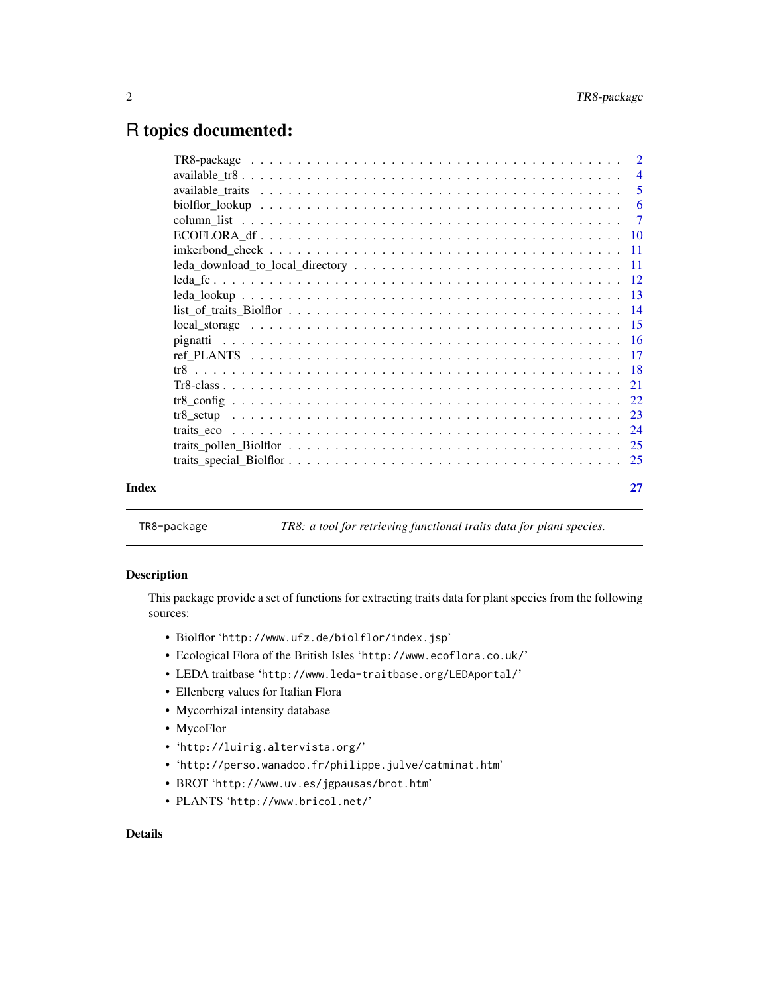# <span id="page-1-0"></span>R topics documented:

|       | $\text{leda\_download\_to\_local\_directory} \dots \dots \dots \dots \dots \dots \dots \dots \dots \dots \dots \dots \dots \dots \dots \dots$ |    |
|-------|-----------------------------------------------------------------------------------------------------------------------------------------------|----|
|       |                                                                                                                                               |    |
|       |                                                                                                                                               |    |
|       | $list_of\_traits\_Biolflor \ldots \ldots \ldots \ldots \ldots \ldots \ldots \ldots \ldots \ldots \ldots \ldots 14$                            |    |
|       |                                                                                                                                               |    |
|       |                                                                                                                                               |    |
|       |                                                                                                                                               |    |
|       |                                                                                                                                               |    |
|       |                                                                                                                                               |    |
|       |                                                                                                                                               |    |
|       |                                                                                                                                               |    |
|       |                                                                                                                                               |    |
|       |                                                                                                                                               |    |
|       |                                                                                                                                               |    |
| Index |                                                                                                                                               | 27 |
|       |                                                                                                                                               |    |

TR8-package *TR8: a tool for retrieving functional traits data for plant species.*

# Description

This package provide a set of functions for extracting traits data for plant species from the following sources:

- Biolflor 'http://www.ufz.de/biolflor/index.jsp'
- Ecological Flora of the British Isles 'http://www.ecoflora.co.uk/'
- LEDA traitbase 'http://www.leda-traitbase.org/LEDAportal/'
- Ellenberg values for Italian Flora
- Mycorrhizal intensity database
- MycoFlor
- 'http://luirig.altervista.org/'
- 'http://perso.wanadoo.fr/philippe.julve/catminat.htm'
- BROT 'http://www.uv.es/jgpausas/brot.htm'
- PLANTS 'http://www.bricol.net/'

# Details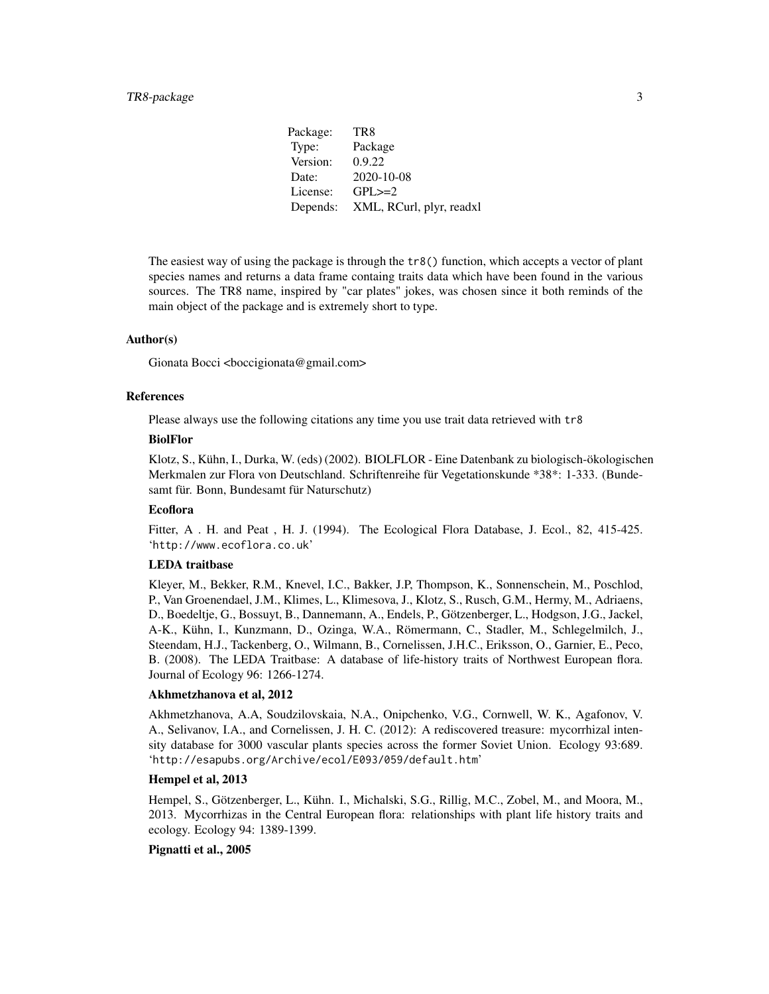Package: TR8 Type: Package Version: 0.9.22 Date: 2020-10-08 License: GPL>=2 Depends: XML, RCurl, plyr, readxl

The easiest way of using the package is through the tr8() function, which accepts a vector of plant species names and returns a data frame containg traits data which have been found in the various sources. The TR8 name, inspired by "car plates" jokes, was chosen since it both reminds of the main object of the package and is extremely short to type.

# Author(s)

Gionata Bocci <br/> <br/> <br/> <br/> <br/>Gionata@gmail.com>

# References

Please always use the following citations any time you use trait data retrieved with tr8

#### BiolFlor

Klotz, S., Kühn, I., Durka, W. (eds) (2002). BIOLFLOR - Eine Datenbank zu biologisch-ökologischen Merkmalen zur Flora von Deutschland. Schriftenreihe für Vegetationskunde \*38\*: 1-333. (Bundesamt für. Bonn, Bundesamt für Naturschutz)

# Ecoflora

Fitter, A. H. and Peat, H. J. (1994). The Ecological Flora Database, J. Ecol., 82, 415-425. 'http://www.ecoflora.co.uk'

#### LEDA traitbase

Kleyer, M., Bekker, R.M., Knevel, I.C., Bakker, J.P, Thompson, K., Sonnenschein, M., Poschlod, P., Van Groenendael, J.M., Klimes, L., Klimesova, J., Klotz, S., Rusch, G.M., Hermy, M., Adriaens, D., Boedeltje, G., Bossuyt, B., Dannemann, A., Endels, P., Götzenberger, L., Hodgson, J.G., Jackel, A-K., Kühn, I., Kunzmann, D., Ozinga, W.A., Römermann, C., Stadler, M., Schlegelmilch, J., Steendam, H.J., Tackenberg, O., Wilmann, B., Cornelissen, J.H.C., Eriksson, O., Garnier, E., Peco, B. (2008). The LEDA Traitbase: A database of life-history traits of Northwest European flora. Journal of Ecology 96: 1266-1274.

#### Akhmetzhanova et al, 2012

Akhmetzhanova, A.A, Soudzilovskaia, N.A., Onipchenko, V.G., Cornwell, W. K., Agafonov, V. A., Selivanov, I.A., and Cornelissen, J. H. C. (2012): A rediscovered treasure: mycorrhizal intensity database for 3000 vascular plants species across the former Soviet Union. Ecology 93:689. 'http://esapubs.org/Archive/ecol/E093/059/default.htm'

# Hempel et al, 2013

Hempel, S., Götzenberger, L., Kühn. I., Michalski, S.G., Rillig, M.C., Zobel, M., and Moora, M., 2013. Mycorrhizas in the Central European flora: relationships with plant life history traits and ecology. Ecology 94: 1389-1399.

# Pignatti et al., 2005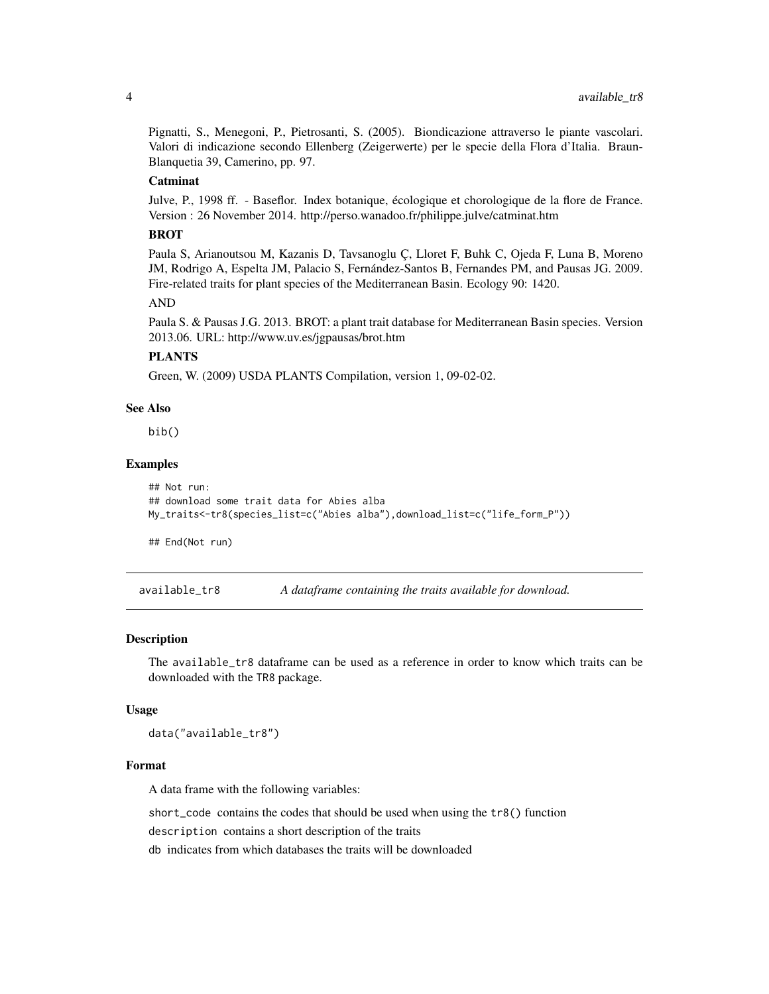<span id="page-3-0"></span>Pignatti, S., Menegoni, P., Pietrosanti, S. (2005). Biondicazione attraverso le piante vascolari. Valori di indicazione secondo Ellenberg (Zeigerwerte) per le specie della Flora d'Italia. Braun-Blanquetia 39, Camerino, pp. 97.

# Catminat

Julve, P., 1998 ff. - Baseflor. Index botanique, écologique et chorologique de la flore de France. Version : 26 November 2014. http://perso.wanadoo.fr/philippe.julve/catminat.htm

# BROT

Paula S, Arianoutsou M, Kazanis D, Tavsanoglu Ç, Lloret F, Buhk C, Ojeda F, Luna B, Moreno JM, Rodrigo A, Espelta JM, Palacio S, Fernández-Santos B, Fernandes PM, and Pausas JG. 2009. Fire-related traits for plant species of the Mediterranean Basin. Ecology 90: 1420.

# AND

Paula S. & Pausas J.G. 2013. BROT: a plant trait database for Mediterranean Basin species. Version 2013.06. URL: http://www.uv.es/jgpausas/brot.htm

# PLANTS

Green, W. (2009) USDA PLANTS Compilation, version 1, 09-02-02.

# See Also

bib()

# Examples

```
## Not run:
## download some trait data for Abies alba
My_traits<-tr8(species_list=c("Abies alba"),download_list=c("life_form_P"))
```
## End(Not run)

available\_tr8 *A dataframe containing the traits available for download.*

#### Description

The available\_tr8 dataframe can be used as a reference in order to know which traits can be downloaded with the TR8 package.

#### Usage

data("available\_tr8")

# Format

A data frame with the following variables:

short\_code contains the codes that should be used when using the tr8() function

description contains a short description of the traits

db indicates from which databases the traits will be downloaded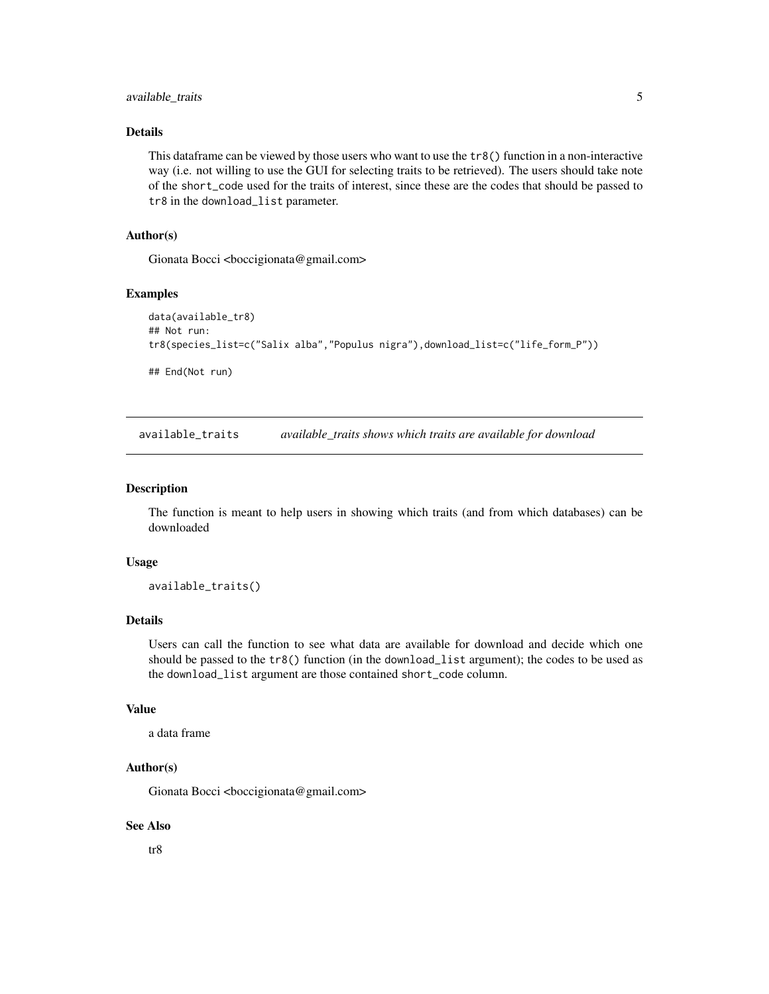# <span id="page-4-0"></span>available\_traits 5

# Details

This dataframe can be viewed by those users who want to use the tr8() function in a non-interactive way (i.e. not willing to use the GUI for selecting traits to be retrieved). The users should take note of the short\_code used for the traits of interest, since these are the codes that should be passed to tr8 in the download\_list parameter.

# Author(s)

Gionata Bocci <br/> <br/>boccigionata@gmail.com>

#### Examples

```
data(available_tr8)
## Not run:
tr8(species_list=c("Salix alba","Populus nigra"),download_list=c("life_form_P"))
## End(Not run)
```
available\_traits *available\_traits shows which traits are available for download*

# Description

The function is meant to help users in showing which traits (and from which databases) can be downloaded

#### Usage

available\_traits()

# Details

Users can call the function to see what data are available for download and decide which one should be passed to the tr8() function (in the download\_list argument); the codes to be used as the download\_list argument are those contained short\_code column.

#### Value

a data frame

#### Author(s)

Gionata Bocci <br/> <br/>boccigionata@gmail.com>

# See Also

tr8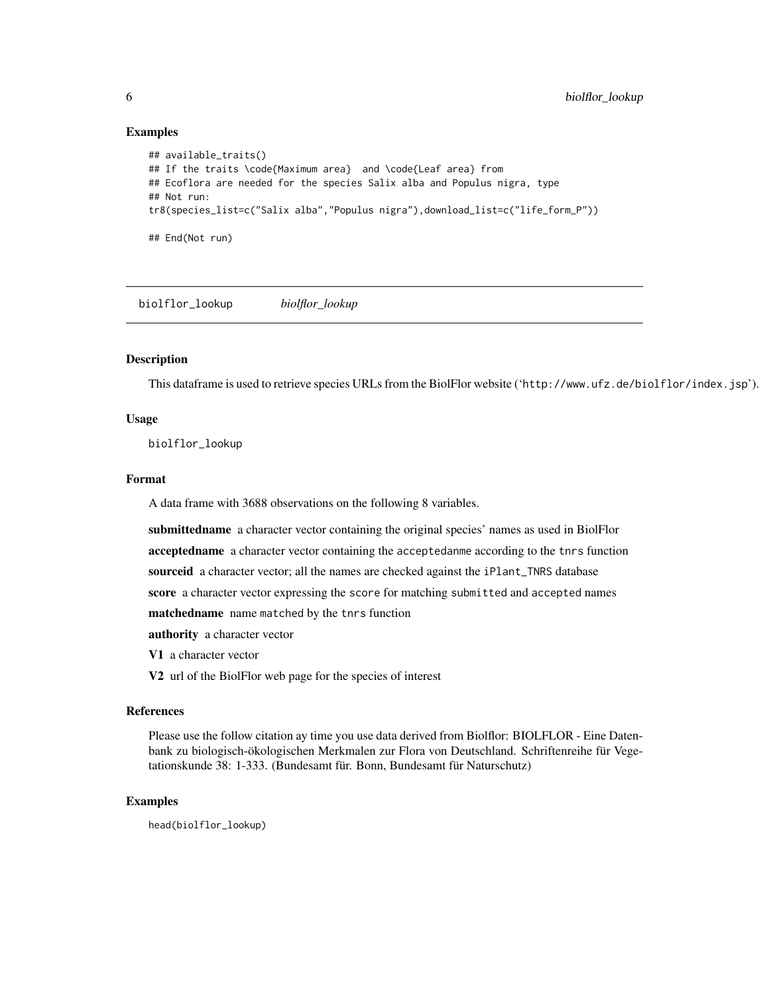# Examples

```
## available_traits()
## If the traits \code{Maximum area} and \code{Leaf area} from
## Ecoflora are needed for the species Salix alba and Populus nigra, type
## Not run:
tr8(species_list=c("Salix alba","Populus nigra"),download_list=c("life_form_P"))
## End(Not run)
```
biolflor\_lookup *biolflor\_lookup*

# Description

This dataframe is used to retrieve species URLs from the BiolFlor website ('http://www.ufz.de/biolflor/index.jsp').

# Usage

biolflor\_lookup

# Format

A data frame with 3688 observations on the following 8 variables.

submittedname a character vector containing the original species' names as used in BiolFlor

acceptedname a character vector containing the acceptedanme according to the tnrs function

sourceid a character vector; all the names are checked against the iPlant\_TNRS database

score a character vector expressing the score for matching submitted and accepted names

matchedname name matched by the tnrs function

authority a character vector

V1 a character vector

V2 url of the BiolFlor web page for the species of interest

#### References

Please use the follow citation ay time you use data derived from Biolflor: BIOLFLOR - Eine Datenbank zu biologisch-ökologischen Merkmalen zur Flora von Deutschland. Schriftenreihe für Vegetationskunde 38: 1-333. (Bundesamt für. Bonn, Bundesamt für Naturschutz)

# Examples

head(biolflor\_lookup)

<span id="page-5-0"></span>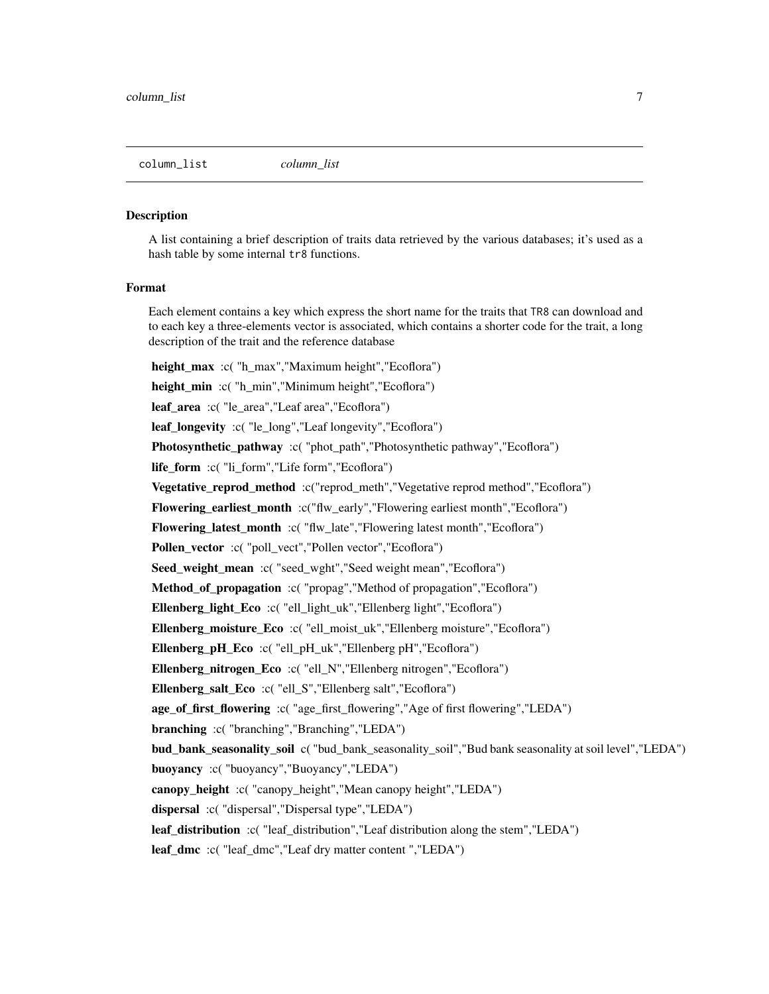#### <span id="page-6-0"></span>**Description**

A list containing a brief description of traits data retrieved by the various databases; it's used as a hash table by some internal  $tr8$  functions.

## Format

Each element contains a key which express the short name for the traits that TR8 can download and to each key a three-elements vector is associated, which contains a shorter code for the trait, a long description of the trait and the reference database

height\_max :c( "h\_max","Maximum height","Ecoflora") height\_min :c( "h\_min","Minimum height","Ecoflora") leaf\_area :c( "le\_area","Leaf area","Ecoflora") leaf longevity :c( "le\_long", "Leaf longevity", "Ecoflora") Photosynthetic\_pathway :c( "phot\_path", "Photosynthetic pathway", "Ecoflora") life\_form :c( "li\_form","Life form","Ecoflora") **Vegetative reprod method** :c("reprod meth","Vegetative reprod method","Ecoflora") Flowering\_earliest\_month :c("flw\_early","Flowering earliest month","Ecoflora") Flowering\_latest\_month :c( "flw\_late","Flowering latest month","Ecoflora") Pollen\_vector :c( "poll\_vect", "Pollen vector", "Ecoflora") Seed\_weight\_mean :c( "seed\_wght","Seed weight mean","Ecoflora") Method of propagation :c( "propag", "Method of propagation", "Ecoflora") Ellenberg\_light\_Eco :c( "ell\_light\_uk","Ellenberg light","Ecoflora") Ellenberg\_moisture\_Eco :c( "ell\_moist\_uk","Ellenberg moisture","Ecoflora") Ellenberg\_pH\_Eco :c( "ell\_pH\_uk","Ellenberg pH","Ecoflora") Ellenberg\_nitrogen\_Eco :c( "ell\_N","Ellenberg nitrogen","Ecoflora") Ellenberg\_salt\_Eco :c( "ell\_S","Ellenberg salt","Ecoflora") age\_of\_first\_flowering :c( "age\_first\_flowering","Age of first flowering","LEDA") branching :c( "branching","Branching","LEDA") bud\_bank\_seasonality\_soil c( "bud\_bank\_seasonality\_soil","Bud bank seasonality at soil level","LEDA") buoyancy :c( "buoyancy","Buoyancy","LEDA") canopy\_height :c( "canopy\_height","Mean canopy height","LEDA") dispersal :c( "dispersal","Dispersal type","LEDA") leaf\_distribution :c( "leaf\_distribution","Leaf distribution along the stem","LEDA") leaf\_dmc :c( "leaf\_dmc","Leaf dry matter content ","LEDA")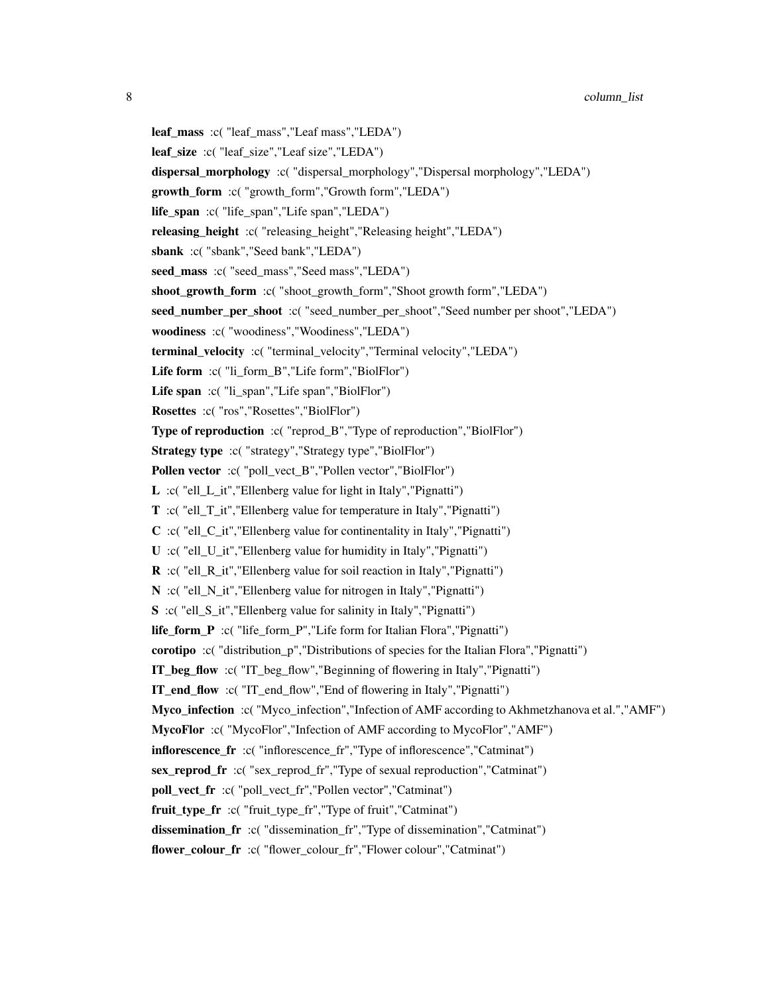8 column\_list column column column column column column column column column column column column column column

leaf\_mass :c( "leaf\_mass","Leaf mass","LEDA") leaf\_size :c( "leaf\_size","Leaf size","LEDA") dispersal\_morphology :c( "dispersal\_morphology","Dispersal morphology","LEDA") growth\_form :c( "growth\_form","Growth form","LEDA") life\_span :c( "life\_span","Life span","LEDA") releasing height :c( "releasing height", "Releasing height", "LEDA") sbank :c( "sbank","Seed bank","LEDA") seed\_mass :c( "seed\_mass","Seed mass","LEDA") shoot growth form :c( "shoot growth form", "Shoot growth form", "LEDA") seed\_number\_per\_shoot :c( "seed\_number\_per\_shoot","Seed number per shoot","LEDA") woodiness :c( "woodiness","Woodiness","LEDA") terminal\_velocity :c( "terminal\_velocity","Terminal velocity","LEDA") Life form :c( "li\_form\_B","Life form","BiolFlor") Life span :c( "li\_span","Life span","BiolFlor") Rosettes :c( "ros","Rosettes","BiolFlor") Type of reproduction :c( "reprod\_B","Type of reproduction","BiolFlor") Strategy type :c( "strategy","Strategy type","BiolFlor") Pollen vector :c( "poll\_vect\_B", "Pollen vector", "BiolFlor") L :c( "ell\_L\_it","Ellenberg value for light in Italy","Pignatti") T :c( "ell\_T\_it","Ellenberg value for temperature in Italy","Pignatti") C :c( "ell\_C\_it","Ellenberg value for continentality in Italy","Pignatti") U :c( "ell\_U\_it","Ellenberg value for humidity in Italy","Pignatti") R :c( "ell\_R\_it","Ellenberg value for soil reaction in Italy","Pignatti") N :c( "ell\_N\_it","Ellenberg value for nitrogen in Italy","Pignatti") S :c( "ell\_S\_it","Ellenberg value for salinity in Italy","Pignatti") life\_form\_P :c( "life\_form\_P","Life form for Italian Flora","Pignatti") corotipo :c( "distribution\_p","Distributions of species for the Italian Flora","Pignatti") IT\_beg\_flow :c( "IT\_beg\_flow","Beginning of flowering in Italy","Pignatti") IT\_end\_flow :c( "IT\_end\_flow","End of flowering in Italy","Pignatti") Myco\_infection :c( "Myco\_infection","Infection of AMF according to Akhmetzhanova et al.","AMF") MycoFlor :c( "MycoFlor","Infection of AMF according to MycoFlor","AMF") inflorescence\_fr :c( "inflorescence\_fr","Type of inflorescence","Catminat") sex\_reprod\_fr :c( "sex\_reprod\_fr","Type of sexual reproduction","Catminat") poll\_vect\_fr :c( "poll\_vect\_fr","Pollen vector","Catminat") fruit\_type\_fr :c( "fruit\_type\_fr","Type of fruit","Catminat") dissemination fr :c( "dissemination fr", "Type of dissemination", "Catminat") flower\_colour\_fr :c( "flower\_colour\_fr","Flower colour","Catminat")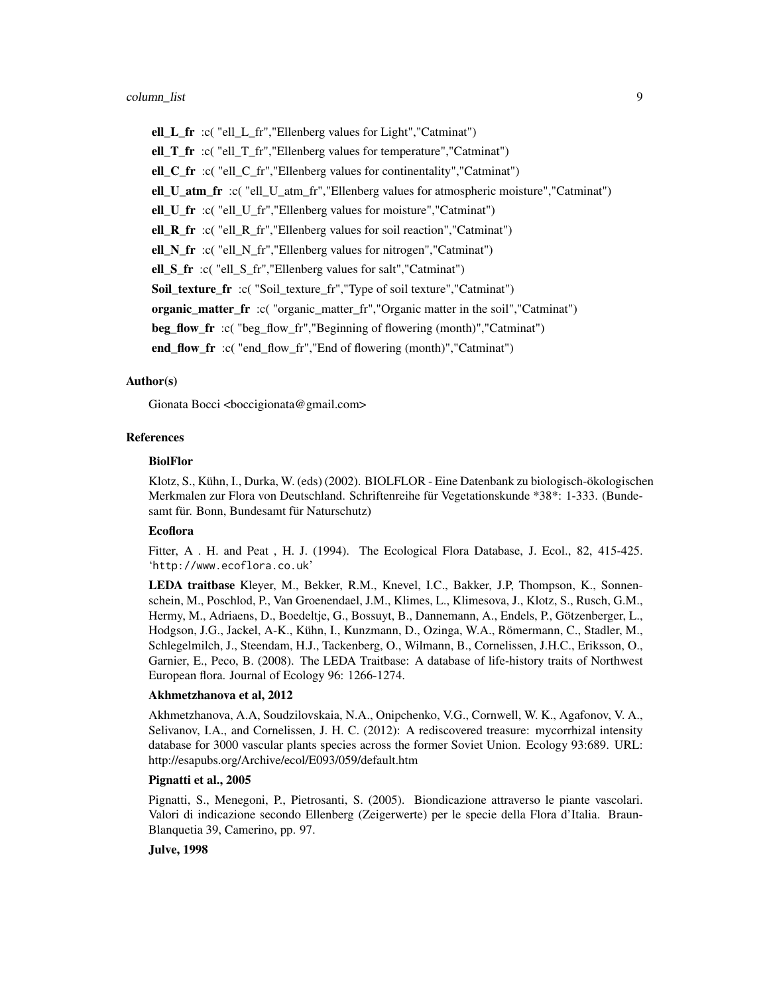ell\_L\_fr :c( "ell\_L\_fr","Ellenberg values for Light","Catminat") ell\_T\_fr :c( "ell\_T\_fr","Ellenberg values for temperature","Catminat") ell\_C\_fr :c( "ell\_C\_fr","Ellenberg values for continentality","Catminat") ell\_U\_atm\_fr :c( "ell\_U\_atm\_fr","Ellenberg values for atmospheric moisture","Catminat") ell\_U\_fr :c( "ell\_U\_fr","Ellenberg values for moisture","Catminat") ell  $R$  fr :c( "ell  $R$  fr", "Ellenberg values for soil reaction", "Catminat") ell\_N\_fr :c( "ell\_N\_fr","Ellenberg values for nitrogen","Catminat") ell\_S\_fr :c( "ell\_S\_fr","Ellenberg values for salt","Catminat") Soil\_texture\_fr :c( "Soil\_texture\_fr","Type of soil texture","Catminat") organic\_matter\_fr :c( "organic\_matter\_fr","Organic matter in the soil","Catminat") beg\_flow\_fr :c( "beg\_flow\_fr", "Beginning of flowering (month)", "Catminat") end flow  $fr :c$  "end flow  $fr$ ", "End of flowering (month)", "Catminat")

# Author(s)

Gionata Bocci <br/>boccigionata@gmail.com>

#### References

#### BiolFlor

Klotz, S., Kühn, I., Durka, W. (eds) (2002). BIOLFLOR - Eine Datenbank zu biologisch-ökologischen Merkmalen zur Flora von Deutschland. Schriftenreihe für Vegetationskunde \*38\*: 1-333. (Bundesamt für. Bonn, Bundesamt für Naturschutz)

# **Ecoflora**

Fitter, A. H. and Peat, H. J. (1994). The Ecological Flora Database, J. Ecol., 82, 415-425. 'http://www.ecoflora.co.uk'

LEDA traitbase Kleyer, M., Bekker, R.M., Knevel, I.C., Bakker, J.P, Thompson, K., Sonnenschein, M., Poschlod, P., Van Groenendael, J.M., Klimes, L., Klimesova, J., Klotz, S., Rusch, G.M., Hermy, M., Adriaens, D., Boedeltje, G., Bossuyt, B., Dannemann, A., Endels, P., Götzenberger, L., Hodgson, J.G., Jackel, A-K., Kühn, I., Kunzmann, D., Ozinga, W.A., Römermann, C., Stadler, M., Schlegelmilch, J., Steendam, H.J., Tackenberg, O., Wilmann, B., Cornelissen, J.H.C., Eriksson, O., Garnier, E., Peco, B. (2008). The LEDA Traitbase: A database of life-history traits of Northwest European flora. Journal of Ecology 96: 1266-1274.

#### Akhmetzhanova et al, 2012

Akhmetzhanova, A.A, Soudzilovskaia, N.A., Onipchenko, V.G., Cornwell, W. K., Agafonov, V. A., Selivanov, I.A., and Cornelissen, J. H. C. (2012): A rediscovered treasure: mycorrhizal intensity database for 3000 vascular plants species across the former Soviet Union. Ecology 93:689. URL: http://esapubs.org/Archive/ecol/E093/059/default.htm

# Pignatti et al., 2005

Pignatti, S., Menegoni, P., Pietrosanti, S. (2005). Biondicazione attraverso le piante vascolari. Valori di indicazione secondo Ellenberg (Zeigerwerte) per le specie della Flora d'Italia. Braun-Blanquetia 39, Camerino, pp. 97.

# Julve, 1998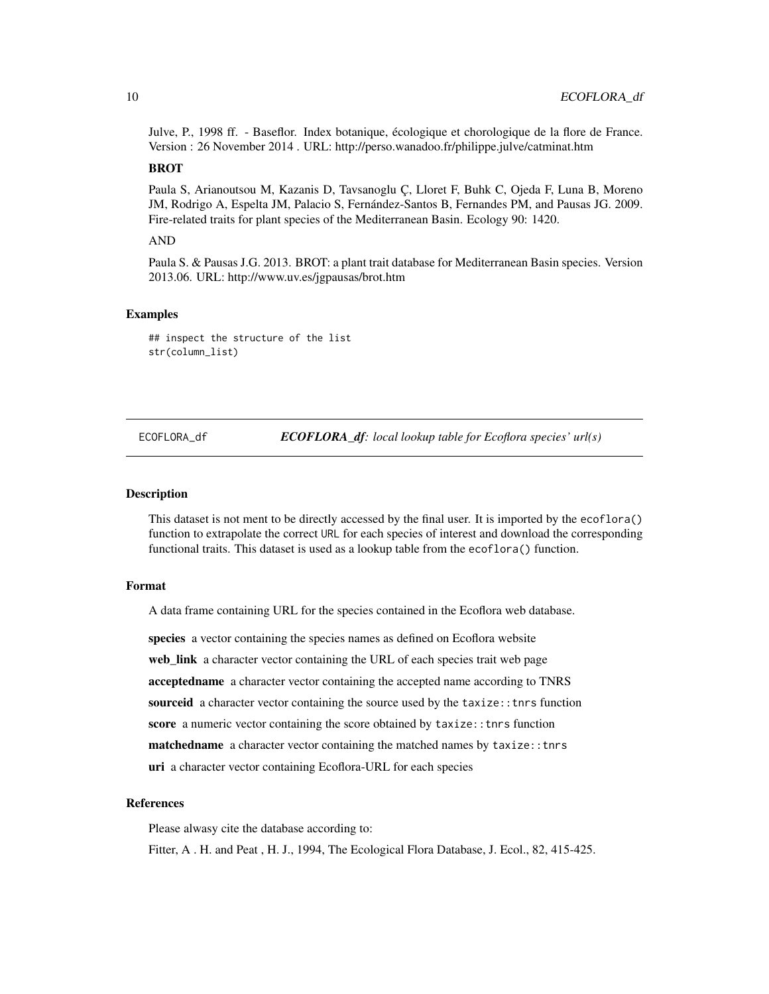<span id="page-9-0"></span>Julve, P., 1998 ff. - Baseflor. Index botanique, écologique et chorologique de la flore de France. Version : 26 November 2014 . URL: http://perso.wanadoo.fr/philippe.julve/catminat.htm

# BROT

Paula S, Arianoutsou M, Kazanis D, Tavsanoglu Ç, Lloret F, Buhk C, Ojeda F, Luna B, Moreno JM, Rodrigo A, Espelta JM, Palacio S, Fernández-Santos B, Fernandes PM, and Pausas JG. 2009. Fire-related traits for plant species of the Mediterranean Basin. Ecology 90: 1420.

# AND

Paula S. & Pausas J.G. 2013. BROT: a plant trait database for Mediterranean Basin species. Version 2013.06. URL: http://www.uv.es/jgpausas/brot.htm

#### Examples

## inspect the structure of the list str(column\_list)

ECOFLORA\_df *ECOFLORA\_df: local lookup table for Ecoflora species' url(s)*

#### **Description**

This dataset is not ment to be directly accessed by the final user. It is imported by the ecoflora() function to extrapolate the correct URL for each species of interest and download the corresponding functional traits. This dataset is used as a lookup table from the ecoflora() function.

# Format

A data frame containing URL for the species contained in the Ecoflora web database.

species a vector containing the species names as defined on Ecoflora website web\_link a character vector containing the URL of each species trait web page acceptedname a character vector containing the accepted name according to TNRS sourceid a character vector containing the source used by the taxize:: tnrs function score a numeric vector containing the score obtained by taxize:: tnrs function matchedname a character vector containing the matched names by taxize:: tnrs uri a character vector containing Ecoflora-URL for each species

# References

Please alwasy cite the database according to:

Fitter, A. H. and Peat, H. J., 1994, The Ecological Flora Database, J. Ecol., 82, 415-425.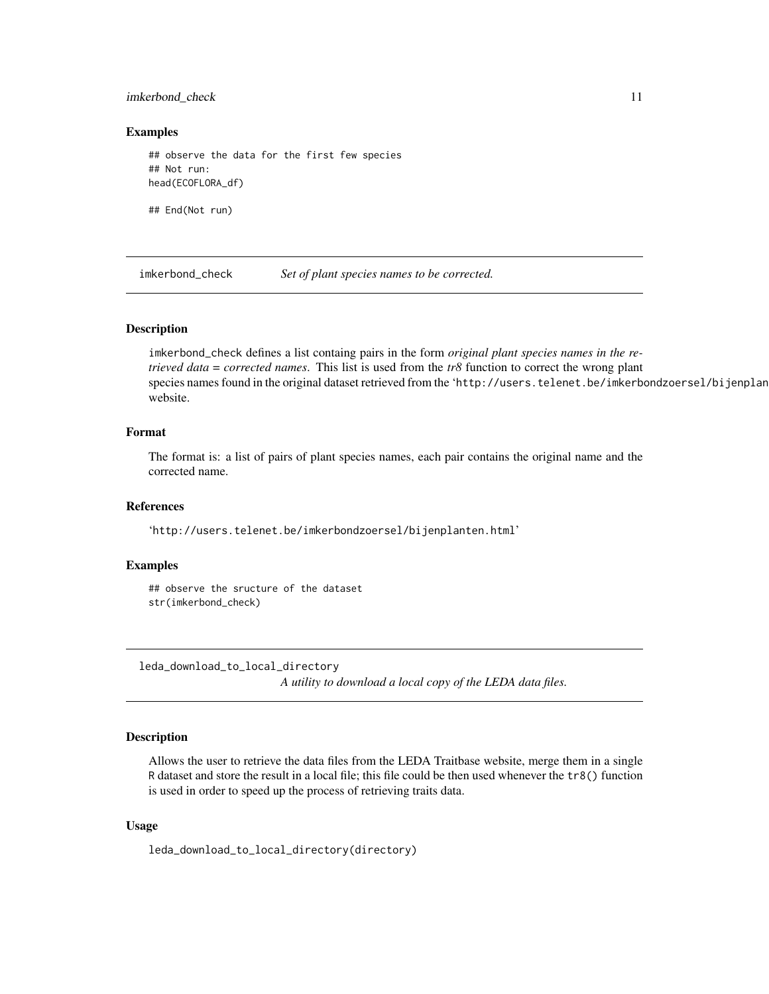# <span id="page-10-0"></span>imkerbond\_check 11

### Examples

## observe the data for the first few species ## Not run: head(ECOFLORA\_df)

## End(Not run)

imkerbond\_check *Set of plant species names to be corrected.*

# Description

imkerbond\_check defines a list containg pairs in the form *original plant species names in the retrieved data* = *corrected names*. This list is used from the *tr8* function to correct the wrong plant species names found in the original dataset retrieved from the 'http://users.telenet.be/imkerbondzoersel/bijenplan website.

# Format

The format is: a list of pairs of plant species names, each pair contains the original name and the corrected name.

#### References

'http://users.telenet.be/imkerbondzoersel/bijenplanten.html'

# Examples

## observe the sructure of the dataset str(imkerbond\_check)

leda\_download\_to\_local\_directory

*A utility to download a local copy of the LEDA data files.*

# Description

Allows the user to retrieve the data files from the LEDA Traitbase website, merge them in a single R dataset and store the result in a local file; this file could be then used whenever the tr8() function is used in order to speed up the process of retrieving traits data.

# Usage

leda\_download\_to\_local\_directory(directory)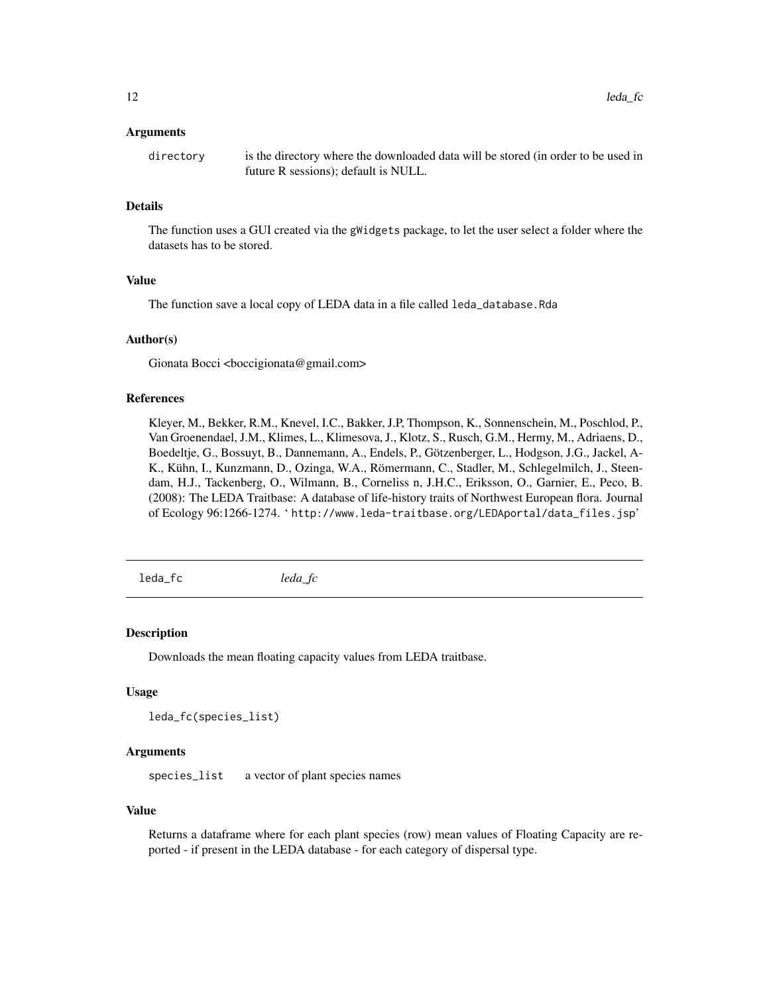#### <span id="page-11-0"></span>Arguments

directory is the directory where the downloaded data will be stored (in order to be used in future R sessions); default is NULL.

# Details

The function uses a GUI created via the gWidgets package, to let the user select a folder where the datasets has to be stored.

#### Value

The function save a local copy of LEDA data in a file called leda\_database.Rda

#### Author(s)

Gionata Bocci <br/> <br/>boccigionata@gmail.com>

# References

Kleyer, M., Bekker, R.M., Knevel, I.C., Bakker, J.P, Thompson, K., Sonnenschein, M., Poschlod, P., Van Groenendael, J.M., Klimes, L., Klimesova, J., Klotz, S., Rusch, G.M., Hermy, M., Adriaens, D., Boedeltje, G., Bossuyt, B., Dannemann, A., Endels, P., Götzenberger, L., Hodgson, J.G., Jackel, A-K., Kühn, I., Kunzmann, D., Ozinga, W.A., Römermann, C., Stadler, M., Schlegelmilch, J., Steendam, H.J., Tackenberg, O., Wilmann, B., Corneliss n, J.H.C., Eriksson, O., Garnier, E., Peco, B. (2008): The LEDA Traitbase: A database of life-history traits of Northwest European flora. Journal of Ecology 96:1266-1274. ' http://www.leda-traitbase.org/LEDAportal/data\_files.jsp'

leda\_fc *leda\_fc*

#### Description

Downloads the mean floating capacity values from LEDA traitbase.

#### Usage

```
leda_fc(species_list)
```
# Arguments

species\_list a vector of plant species names

#### Value

Returns a dataframe where for each plant species (row) mean values of Floating Capacity are reported - if present in the LEDA database - for each category of dispersal type.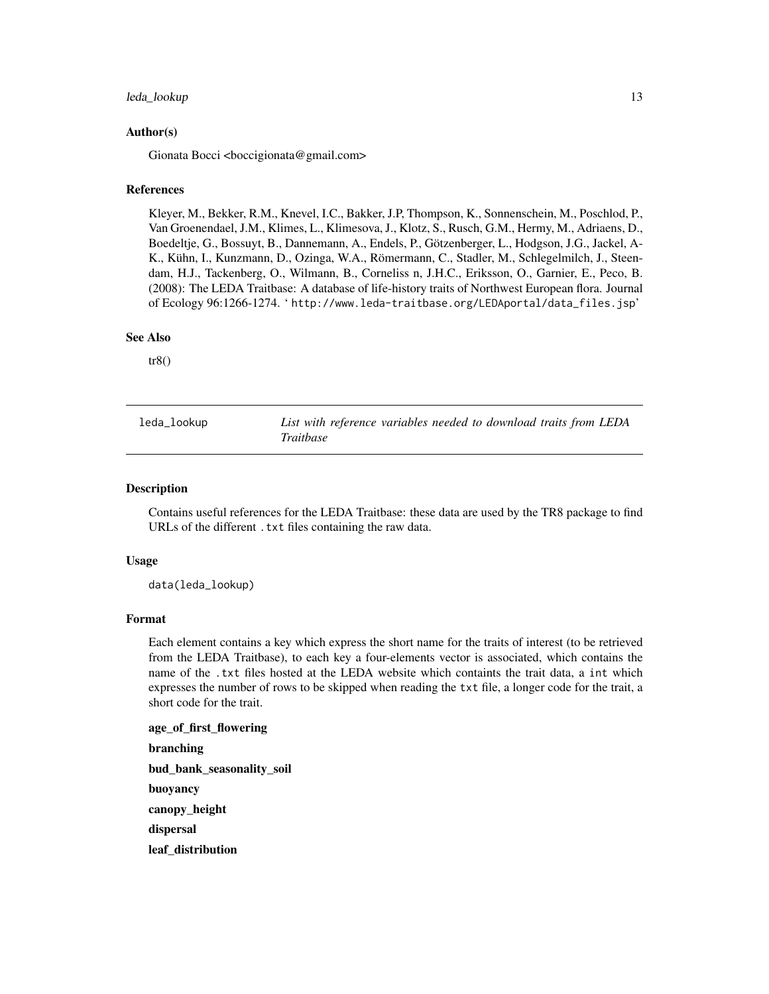# <span id="page-12-0"></span>leda\_lookup 13

# Author(s)

Gionata Bocci <br/> <br/>boccigionata@gmail.com>

#### **References**

Kleyer, M., Bekker, R.M., Knevel, I.C., Bakker, J.P, Thompson, K., Sonnenschein, M., Poschlod, P., Van Groenendael, J.M., Klimes, L., Klimesova, J., Klotz, S., Rusch, G.M., Hermy, M., Adriaens, D., Boedeltje, G., Bossuyt, B., Dannemann, A., Endels, P., Götzenberger, L., Hodgson, J.G., Jackel, A-K., Kühn, I., Kunzmann, D., Ozinga, W.A., Römermann, C., Stadler, M., Schlegelmilch, J., Steendam, H.J., Tackenberg, O., Wilmann, B., Corneliss n, J.H.C., Eriksson, O., Garnier, E., Peco, B. (2008): The LEDA Traitbase: A database of life-history traits of Northwest European flora. Journal of Ecology 96:1266-1274. ' http://www.leda-traitbase.org/LEDAportal/data\_files.jsp'

# See Also

 $tr8()$ 

leda\_lookup *List with reference variables needed to download traits from LEDA Traitbase*

#### Description

Contains useful references for the LEDA Traitbase: these data are used by the TR8 package to find URLs of the different .txt files containing the raw data.

#### Usage

data(leda\_lookup)

#### Format

Each element contains a key which express the short name for the traits of interest (to be retrieved from the LEDA Traitbase), to each key a four-elements vector is associated, which contains the name of the .txt files hosted at the LEDA website which containts the trait data, a int which expresses the number of rows to be skipped when reading the txt file, a longer code for the trait, a short code for the trait.

age\_of\_first\_flowering branching bud\_bank\_seasonality\_soil buoyancy canopy\_height dispersal leaf\_distribution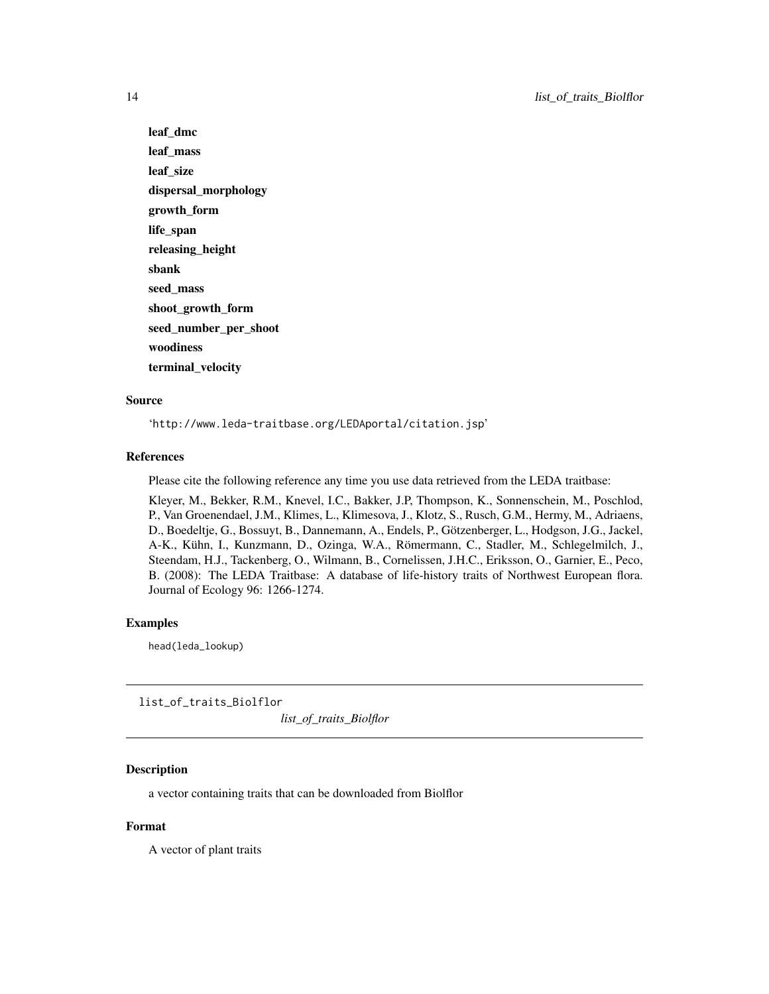leaf\_dmc leaf\_mass leaf\_size dispersal\_morphology growth\_form life\_span releasing\_height sbank seed\_mass shoot\_growth\_form seed\_number\_per\_shoot woodiness terminal\_velocity

# Source

'http://www.leda-traitbase.org/LEDAportal/citation.jsp'

#### References

Please cite the following reference any time you use data retrieved from the LEDA traitbase:

Kleyer, M., Bekker, R.M., Knevel, I.C., Bakker, J.P, Thompson, K., Sonnenschein, M., Poschlod, P., Van Groenendael, J.M., Klimes, L., Klimesova, J., Klotz, S., Rusch, G.M., Hermy, M., Adriaens, D., Boedeltje, G., Bossuyt, B., Dannemann, A., Endels, P., Götzenberger, L., Hodgson, J.G., Jackel, A-K., Kühn, I., Kunzmann, D., Ozinga, W.A., Römermann, C., Stadler, M., Schlegelmilch, J., Steendam, H.J., Tackenberg, O., Wilmann, B., Cornelissen, J.H.C., Eriksson, O., Garnier, E., Peco, B. (2008): The LEDA Traitbase: A database of life-history traits of Northwest European flora. Journal of Ecology 96: 1266-1274.

# Examples

head(leda\_lookup)

list\_of\_traits\_Biolflor *list\_of\_traits\_Biolflor*

# Description

a vector containing traits that can be downloaded from Biolflor

# Format

A vector of plant traits

<span id="page-13-0"></span>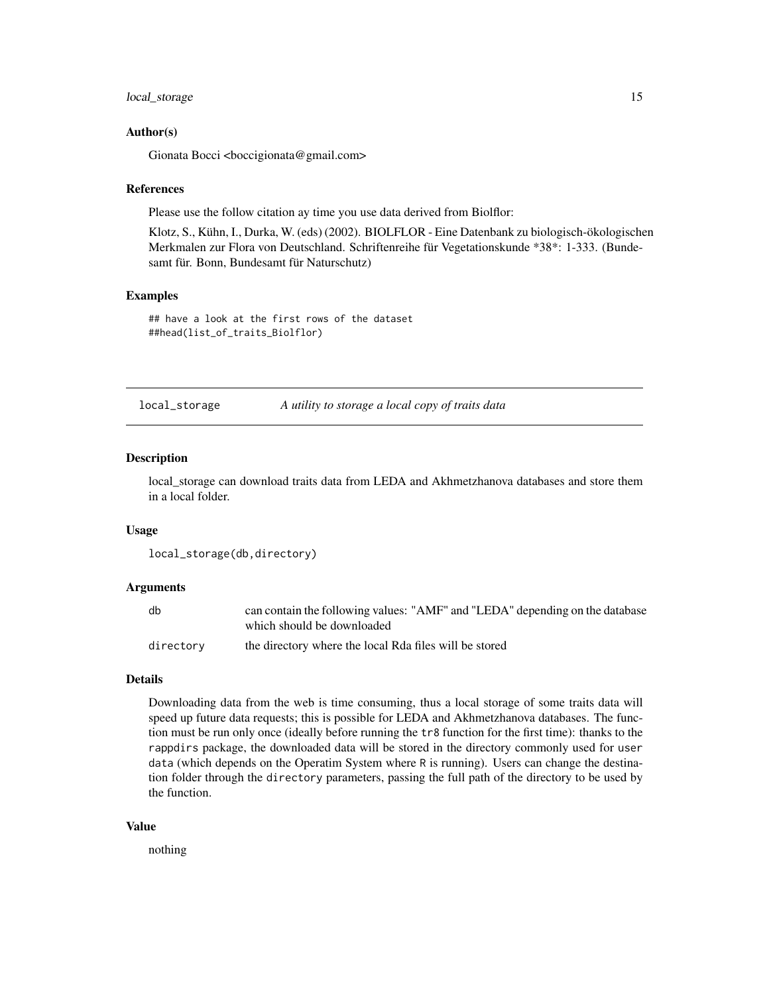# <span id="page-14-0"></span>local\_storage 15

# Author(s)

Gionata Bocci <br/> <br/>boccigionata@gmail.com>

#### References

Please use the follow citation ay time you use data derived from Biolflor:

Klotz, S., Kühn, I., Durka, W. (eds) (2002). BIOLFLOR - Eine Datenbank zu biologisch-ökologischen Merkmalen zur Flora von Deutschland. Schriftenreihe für Vegetationskunde \*38\*: 1-333. (Bundesamt für. Bonn, Bundesamt für Naturschutz)

# Examples

## have a look at the first rows of the dataset ##head(list\_of\_traits\_Biolflor)

local\_storage *A utility to storage a local copy of traits data*

#### Description

local\_storage can download traits data from LEDA and Akhmetzhanova databases and store them in a local folder.

# Usage

```
local_storage(db,directory)
```
#### Arguments

| db        | can contain the following values: "AMF" and "LEDA" depending on the database<br>which should be downloaded |
|-----------|------------------------------------------------------------------------------------------------------------|
| directory | the directory where the local Rda files will be stored                                                     |

#### Details

Downloading data from the web is time consuming, thus a local storage of some traits data will speed up future data requests; this is possible for LEDA and Akhmetzhanova databases. The function must be run only once (ideally before running the tr8 function for the first time): thanks to the rappdirs package, the downloaded data will be stored in the directory commonly used for user data (which depends on the Operatim System where R is running). Users can change the destination folder through the directory parameters, passing the full path of the directory to be used by the function.

#### Value

nothing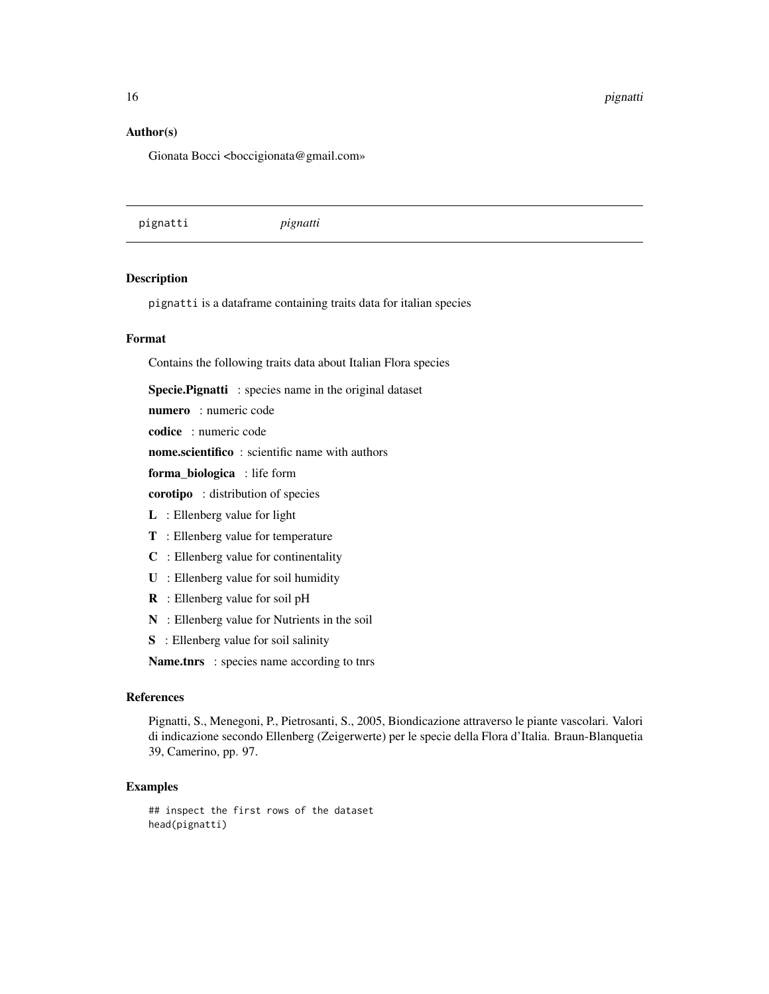<span id="page-15-0"></span>16 pignatti kuning kalendar kan berakhiran pignatti kuning kan berakhiran pignatti kuning kan berakhiran pignatti k

# Author(s)

Gionata Bocci <br/> <br/>boccigionata@gmail.com»

pignatti *pignatti*

# Description

pignatti is a dataframe containing traits data for italian species

# Format

Contains the following traits data about Italian Flora species

Specie.Pignatti : species name in the original dataset

numero : numeric code

codice : numeric code

nome.scientifico : scientific name with authors

forma\_biologica : life form

corotipo : distribution of species

- L : Ellenberg value for light
- T : Ellenberg value for temperature
- C : Ellenberg value for continentality
- U : Ellenberg value for soil humidity
- R : Ellenberg value for soil pH
- N : Ellenberg value for Nutrients in the soil
- S : Ellenberg value for soil salinity

Name.tnrs : species name according to tnrs

# References

Pignatti, S., Menegoni, P., Pietrosanti, S., 2005, Biondicazione attraverso le piante vascolari. Valori di indicazione secondo Ellenberg (Zeigerwerte) per le specie della Flora d'Italia. Braun-Blanquetia 39, Camerino, pp. 97.

# Examples

## inspect the first rows of the dataset head(pignatti)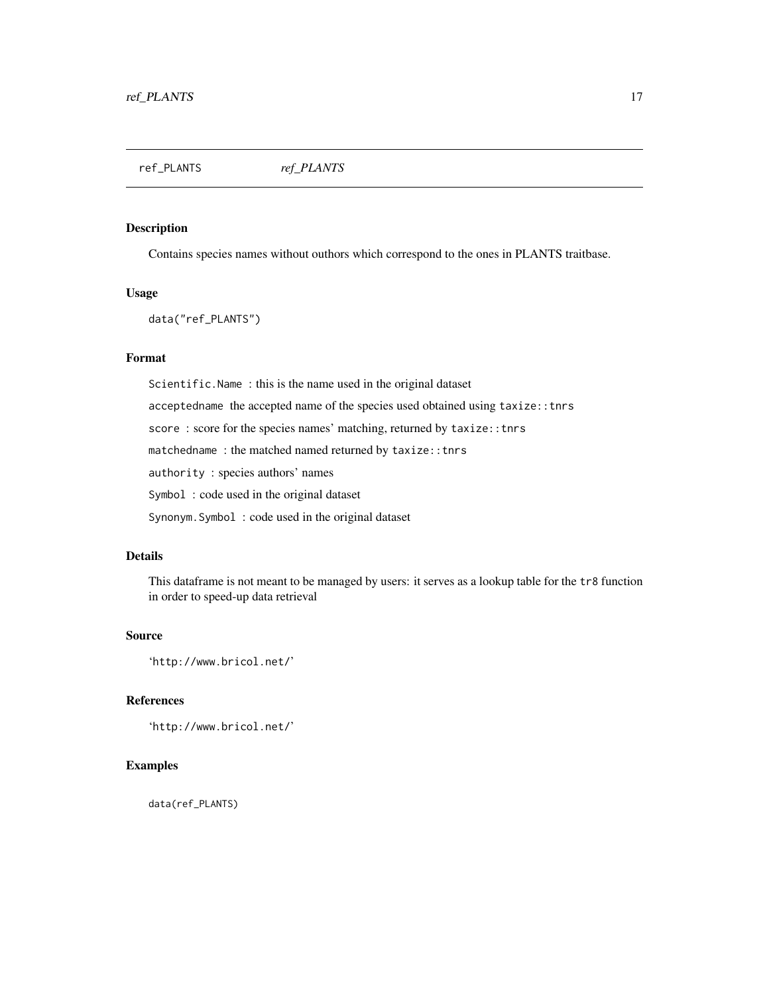<span id="page-16-0"></span>ref\_PLANTS *ref\_PLANTS*

# Description

Contains species names without outhors which correspond to the ones in PLANTS traitbase.

#### Usage

data("ref\_PLANTS")

# Format

Scientific.Name : this is the name used in the original dataset acceptedname the accepted name of the species used obtained using taxize::tnrs score: score for the species names' matching, returned by taxize:: tnrs matchedname : the matched named returned by taxize::tnrs authority : species authors' names Symbol : code used in the original dataset

Synonym.Symbol : code used in the original dataset

# Details

This dataframe is not meant to be managed by users: it serves as a lookup table for the tr8 function in order to speed-up data retrieval

# Source

'http://www.bricol.net/'

# References

'http://www.bricol.net/'

# Examples

data(ref\_PLANTS)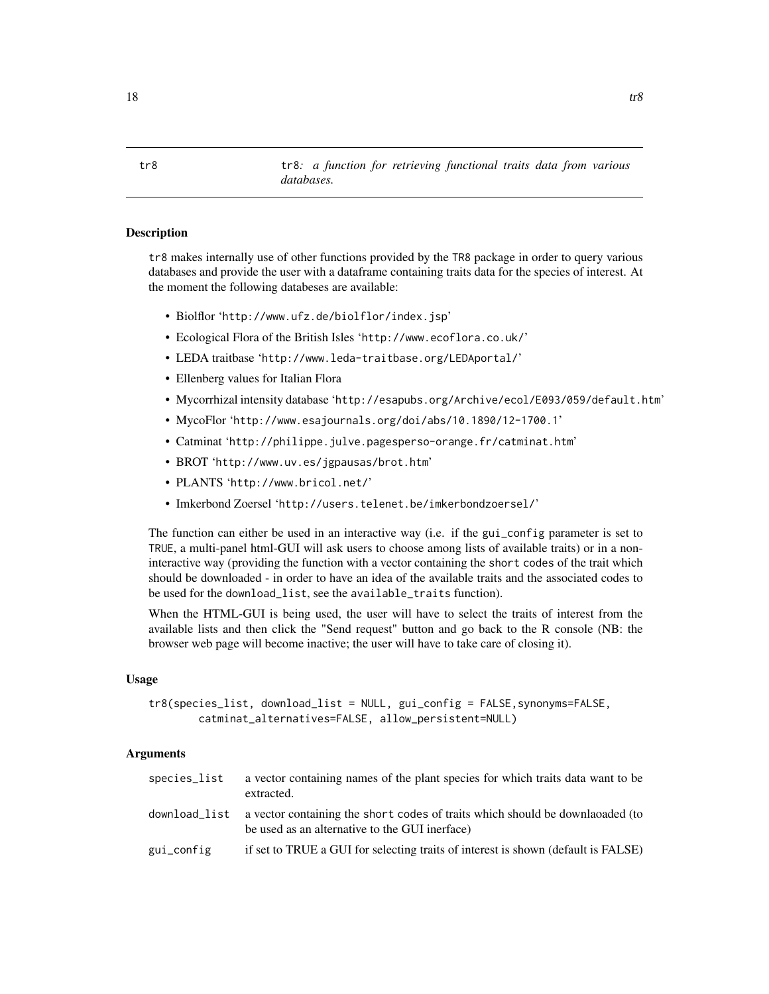<span id="page-17-1"></span><span id="page-17-0"></span>tr8 tr8*: a function for retrieving functional traits data from various databases.*

# Description

tr8 makes internally use of other functions provided by the TR8 package in order to query various databases and provide the user with a dataframe containing traits data for the species of interest. At the moment the following databeses are available:

- Biolflor 'http://www.ufz.de/biolflor/index.jsp'
- Ecological Flora of the British Isles 'http://www.ecoflora.co.uk/'
- LEDA traitbase 'http://www.leda-traitbase.org/LEDAportal/'
- Ellenberg values for Italian Flora
- Mycorrhizal intensity database 'http://esapubs.org/Archive/ecol/E093/059/default.htm'
- MycoFlor 'http://www.esajournals.org/doi/abs/10.1890/12-1700.1'
- Catminat 'http://philippe.julve.pagesperso-orange.fr/catminat.htm'
- BROT 'http://www.uv.es/jgpausas/brot.htm'
- PLANTS 'http://www.bricol.net/'
- Imkerbond Zoersel 'http://users.telenet.be/imkerbondzoersel/'

The function can either be used in an interactive way (i.e. if the gui\_config parameter is set to TRUE, a multi-panel html-GUI will ask users to choose among lists of available traits) or in a noninteractive way (providing the function with a vector containing the short codes of the trait which should be downloaded - in order to have an idea of the available traits and the associated codes to be used for the download\_list, see the available\_traits function).

When the HTML-GUI is being used, the user will have to select the traits of interest from the available lists and then click the "Send request" button and go back to the R console (NB: the browser web page will become inactive; the user will have to take care of closing it).

#### Usage

```
tr8(species_list, download_list = NULL, gui_config = FALSE,synonyms=FALSE,
       catminat_alternatives=FALSE, allow_persistent=NULL)
```
#### **Arguments**

| species_list  | a vector containing names of the plant species for which traits data want to be<br>extracted.                                   |
|---------------|---------------------------------------------------------------------------------------------------------------------------------|
| download_list | a vector containing the short codes of traits which should be downlaoaded (to<br>be used as an alternative to the GUI inerface) |
| gui_config    | if set to TRUE a GUI for selecting traits of interest is shown (default is FALSE)                                               |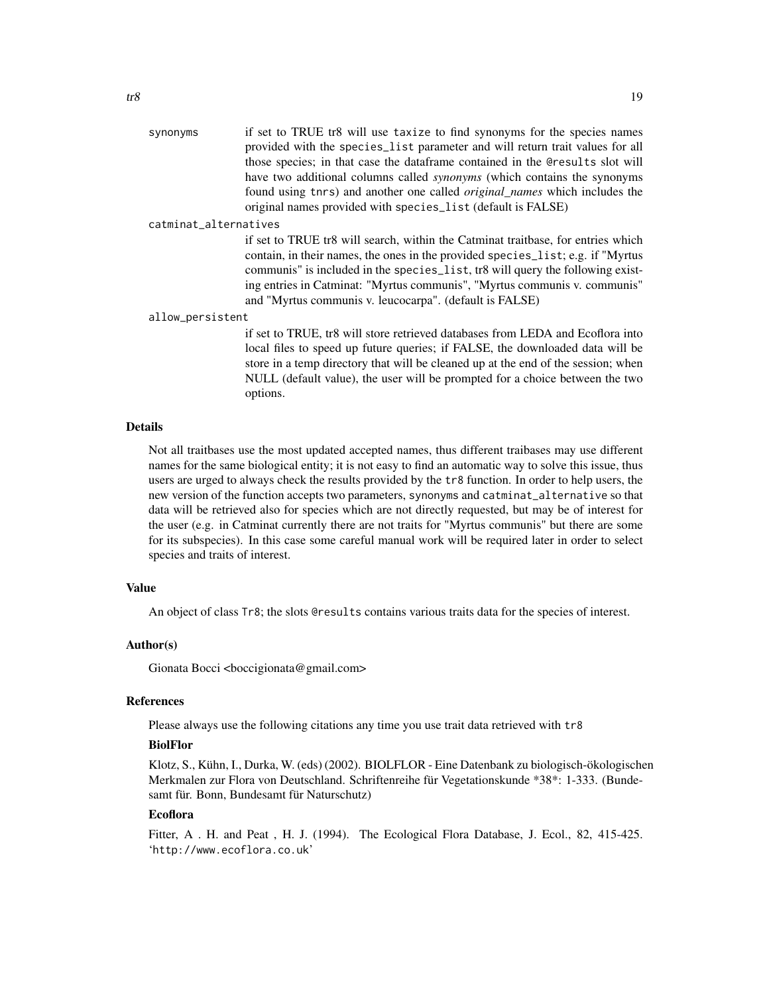synonyms if set to TRUE tr8 will use taxize to find synonyms for the species names provided with the species\_list parameter and will return trait values for all those species; in that case the dataframe contained in the @results slot will have two additional columns called *synonyms* (which contains the synonyms found using tnrs) and another one called *original\_names* which includes the original names provided with species\_list (default is FALSE)

# catminat\_alternatives

if set to TRUE tr8 will search, within the Catminat traitbase, for entries which contain, in their names, the ones in the provided species\_list; e.g. if "Myrtus communis" is included in the species\_list, tr8 will query the following existing entries in Catminat: "Myrtus communis", "Myrtus communis v. communis" and "Myrtus communis v. leucocarpa". (default is FALSE)

#### allow\_persistent

if set to TRUE, tr8 will store retrieved databases from LEDA and Ecoflora into local files to speed up future queries; if FALSE, the downloaded data will be store in a temp directory that will be cleaned up at the end of the session; when NULL (default value), the user will be prompted for a choice between the two options.

## Details

Not all traitbases use the most updated accepted names, thus different traibases may use different names for the same biological entity; it is not easy to find an automatic way to solve this issue, thus users are urged to always check the results provided by the tr8 function. In order to help users, the new version of the function accepts two parameters, synonyms and catminat\_alternative so that data will be retrieved also for species which are not directly requested, but may be of interest for the user (e.g. in Catminat currently there are not traits for "Myrtus communis" but there are some for its subspecies). In this case some careful manual work will be required later in order to select species and traits of interest.

#### Value

An object of class Tr8; the slots @results contains various traits data for the species of interest.

#### Author(s)

Gionata Bocci <br/> <br/>boccigionata@gmail.com>

# References

Please always use the following citations any time you use trait data retrieved with tr8

# BiolFlor

Klotz, S., Kühn, I., Durka, W. (eds) (2002). BIOLFLOR - Eine Datenbank zu biologisch-ökologischen Merkmalen zur Flora von Deutschland. Schriftenreihe für Vegetationskunde \*38\*: 1-333. (Bundesamt für. Bonn, Bundesamt für Naturschutz)

# Ecoflora

Fitter, A. H. and Peat, H. J. (1994). The Ecological Flora Database, J. Ecol., 82, 415-425. 'http://www.ecoflora.co.uk'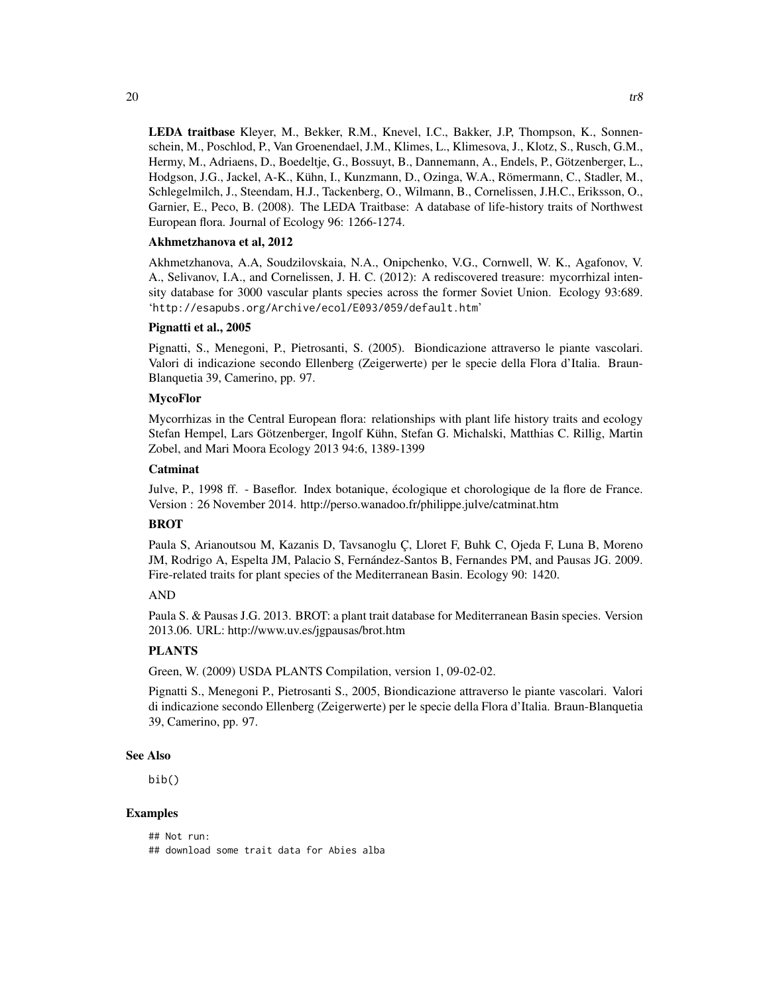LEDA traitbase Kleyer, M., Bekker, R.M., Knevel, I.C., Bakker, J.P, Thompson, K., Sonnenschein, M., Poschlod, P., Van Groenendael, J.M., Klimes, L., Klimesova, J., Klotz, S., Rusch, G.M., Hermy, M., Adriaens, D., Boedeltje, G., Bossuyt, B., Dannemann, A., Endels, P., Götzenberger, L., Hodgson, J.G., Jackel, A-K., Kühn, I., Kunzmann, D., Ozinga, W.A., Römermann, C., Stadler, M., Schlegelmilch, J., Steendam, H.J., Tackenberg, O., Wilmann, B., Cornelissen, J.H.C., Eriksson, O., Garnier, E., Peco, B. (2008). The LEDA Traitbase: A database of life-history traits of Northwest European flora. Journal of Ecology 96: 1266-1274.

# Akhmetzhanova et al, 2012

Akhmetzhanova, A.A, Soudzilovskaia, N.A., Onipchenko, V.G., Cornwell, W. K., Agafonov, V. A., Selivanov, I.A., and Cornelissen, J. H. C. (2012): A rediscovered treasure: mycorrhizal intensity database for 3000 vascular plants species across the former Soviet Union. Ecology 93:689. 'http://esapubs.org/Archive/ecol/E093/059/default.htm'

# Pignatti et al., 2005

Pignatti, S., Menegoni, P., Pietrosanti, S. (2005). Biondicazione attraverso le piante vascolari. Valori di indicazione secondo Ellenberg (Zeigerwerte) per le specie della Flora d'Italia. Braun-Blanquetia 39, Camerino, pp. 97.

# MycoFlor

Mycorrhizas in the Central European flora: relationships with plant life history traits and ecology Stefan Hempel, Lars Götzenberger, Ingolf Kühn, Stefan G. Michalski, Matthias C. Rillig, Martin Zobel, and Mari Moora Ecology 2013 94:6, 1389-1399

# Catminat

Julve, P., 1998 ff. - Baseflor. Index botanique, écologique et chorologique de la flore de France. Version : 26 November 2014. http://perso.wanadoo.fr/philippe.julve/catminat.htm

# **BROT**

Paula S, Arianoutsou M, Kazanis D, Tavsanoglu Ç, Lloret F, Buhk C, Ojeda F, Luna B, Moreno JM, Rodrigo A, Espelta JM, Palacio S, Fernández-Santos B, Fernandes PM, and Pausas JG. 2009. Fire-related traits for plant species of the Mediterranean Basin. Ecology 90: 1420.

# AND

Paula S. & Pausas J.G. 2013. BROT: a plant trait database for Mediterranean Basin species. Version 2013.06. URL: http://www.uv.es/jgpausas/brot.htm

# PLANTS

Green, W. (2009) USDA PLANTS Compilation, version 1, 09-02-02.

Pignatti S., Menegoni P., Pietrosanti S., 2005, Biondicazione attraverso le piante vascolari. Valori di indicazione secondo Ellenberg (Zeigerwerte) per le specie della Flora d'Italia. Braun-Blanquetia 39, Camerino, pp. 97.

# See Also

bib()

# Examples

## Not run: ## download some trait data for Abies alba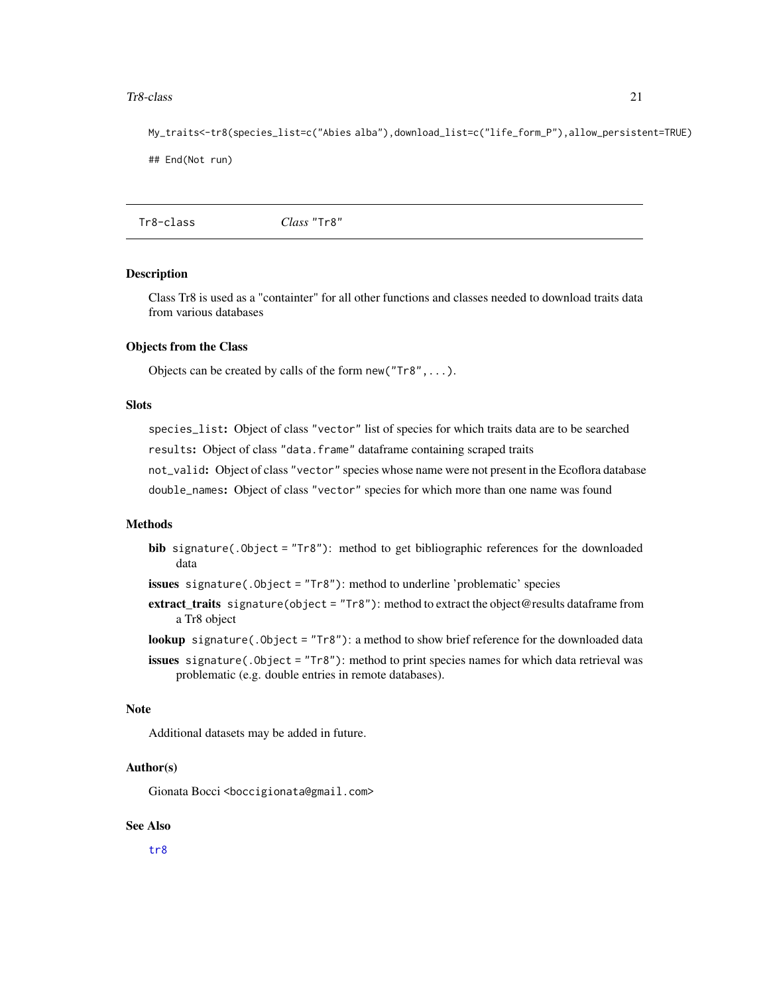#### <span id="page-20-0"></span>Tr8-class 21

My\_traits<-tr8(species\_list=c("Abies alba"),download\_list=c("life\_form\_P"),allow\_persistent=TRUE) ## End(Not run)

Tr8-class *Class* "Tr8"

#### Description

Class Tr8 is used as a "containter" for all other functions and classes needed to download traits data from various databases

#### Objects from the Class

Objects can be created by calls of the form new("Tr8",...).

#### Slots

species\_list: Object of class "vector" list of species for which traits data are to be searched

results: Object of class "data.frame" dataframe containing scraped traits

not\_valid: Object of class "vector" species whose name were not present in the Ecoflora database

double\_names: Object of class "vector" species for which more than one name was found

# Methods

bib signature(.Object = "Tr8"): method to get bibliographic references for the downloaded data

issues signature(.Object = "Tr8"): method to underline 'problematic' species

- extract\_traits signature(object = "Tr8"): method to extract the object@results dataframe from a Tr8 object
- lookup signature(.Object = "Tr8"): a method to show brief reference for the downloaded data
- issues signature(.Object = "Tr8"): method to print species names for which data retrieval was problematic (e.g. double entries in remote databases).

#### Note

Additional datasets may be added in future.

# Author(s)

Gionata Bocci <br />boccigionata@gmail.com>

# See Also

[tr8](#page-17-1)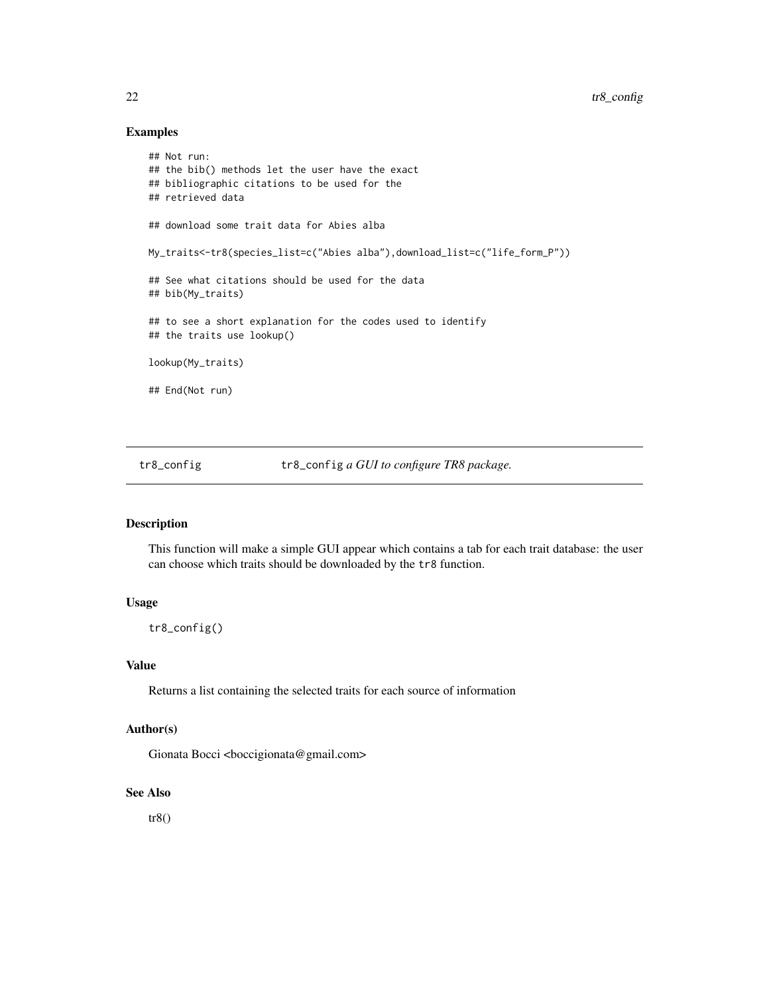# Examples

```
## Not run:
## the bib() methods let the user have the exact
## bibliographic citations to be used for the
## retrieved data
## download some trait data for Abies alba
My_traits<-tr8(species_list=c("Abies alba"),download_list=c("life_form_P"))
## See what citations should be used for the data
## bib(My_traits)
## to see a short explanation for the codes used to identify
## the traits use lookup()
lookup(My_traits)
## End(Not run)
```
tr8\_config tr8\_config *a GUI to configure TR8 package.*

# Description

This function will make a simple GUI appear which contains a tab for each trait database: the user can choose which traits should be downloaded by the tr8 function.

# Usage

tr8\_config()

#### Value

Returns a list containing the selected traits for each source of information

# Author(s)

Gionata Bocci <br/> <br/>boccigionata@gmail.com>

#### See Also

tr8()

<span id="page-21-0"></span>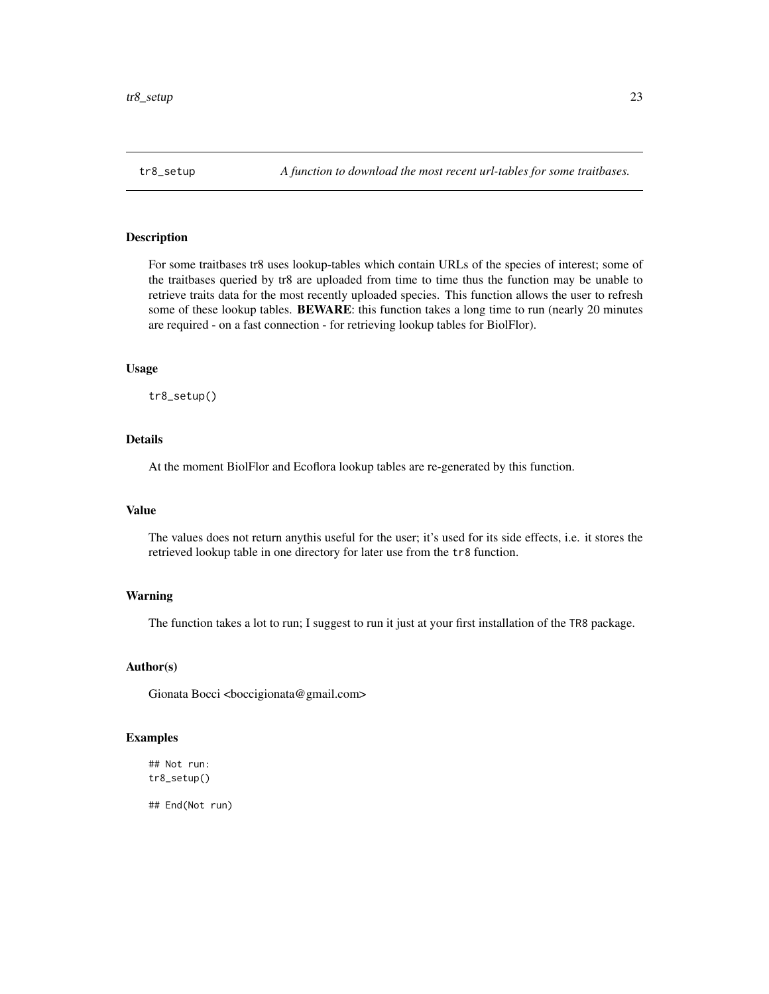#### <span id="page-22-0"></span>Description

For some traitbases tr8 uses lookup-tables which contain URLs of the species of interest; some of the traitbases queried by tr8 are uploaded from time to time thus the function may be unable to retrieve traits data for the most recently uploaded species. This function allows the user to refresh some of these lookup tables. BEWARE: this function takes a long time to run (nearly 20 minutes are required - on a fast connection - for retrieving lookup tables for BiolFlor).

#### Usage

tr8\_setup()

# Details

At the moment BiolFlor and Ecoflora lookup tables are re-generated by this function.

# Value

The values does not return anythis useful for the user; it's used for its side effects, i.e. it stores the retrieved lookup table in one directory for later use from the tr8 function.

# Warning

The function takes a lot to run; I suggest to run it just at your first installation of the TR8 package.

### Author(s)

Gionata Bocci <br/> <br/>boccigionata@gmail.com>

# Examples

```
## Not run:
tr8_setup()
```
## End(Not run)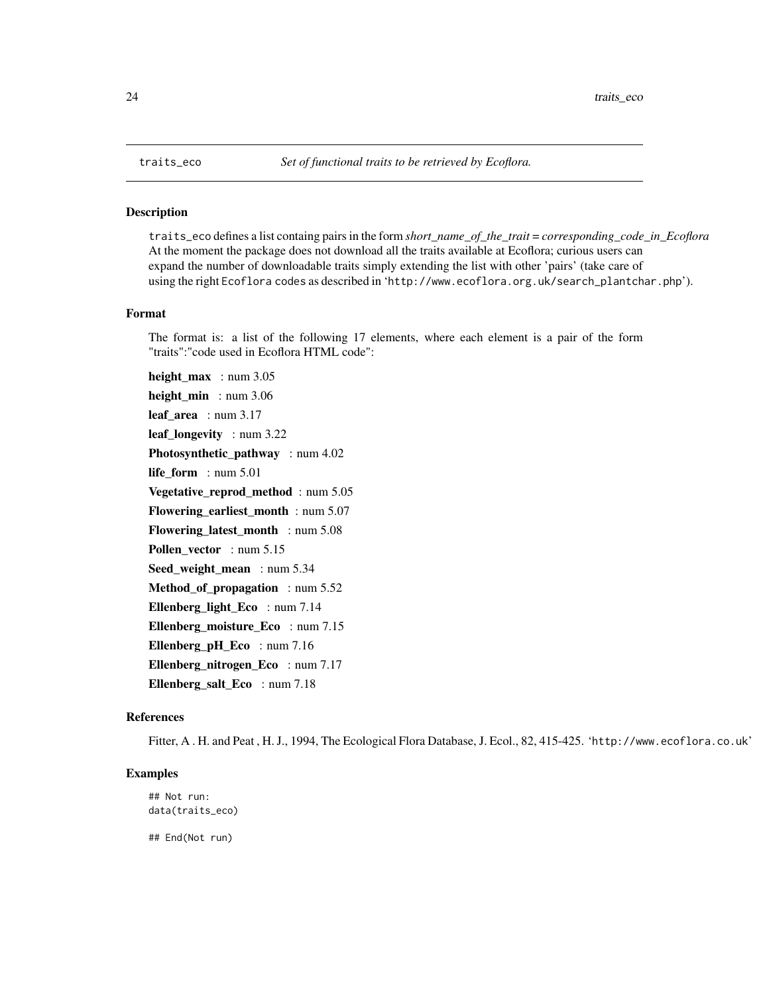#### <span id="page-23-0"></span>Description

traits\_eco defines a list containg pairs in the form *short\_name\_of\_the\_trait* = *corresponding\_code\_in\_Ecoflora* At the moment the package does not download all the traits available at Ecoflora; curious users can expand the number of downloadable traits simply extending the list with other 'pairs' (take care of using the right Ecoflora codes as described in 'http://www.ecoflora.org.uk/search\_plantchar.php').

#### Format

The format is: a list of the following 17 elements, where each element is a pair of the form "traits":"code used in Ecoflora HTML code":

height\_max : num 3.05 height min : num 3.06 leaf\_area : num 3.17 leaf\_longevity : num 3.22 Photosynthetic\_pathway : num 4.02 life\_form : num 5.01 Vegetative\_reprod\_method : num 5.05 Flowering\_earliest\_month : num 5.07 Flowering\_latest\_month : num 5.08 Pollen\_vector : num 5.15 Seed\_weight\_mean : num 5.34 Method\_of\_propagation : num 5.52 Ellenberg\_light\_Eco : num 7.14 Ellenberg\_moisture\_Eco : num 7.15 Ellenberg\_pH\_Eco : num 7.16 Ellenberg nitrogen Eco : num 7.17 Ellenberg\_salt\_Eco : num 7.18

# References

Fitter, A.H. and Peat, H.J., 1994, The Ecological Flora Database, J. Ecol., 82, 415-425. 'http://www.ecoflora.co.uk'

# Examples

```
## Not run:
data(traits_eco)
## End(Not run)
```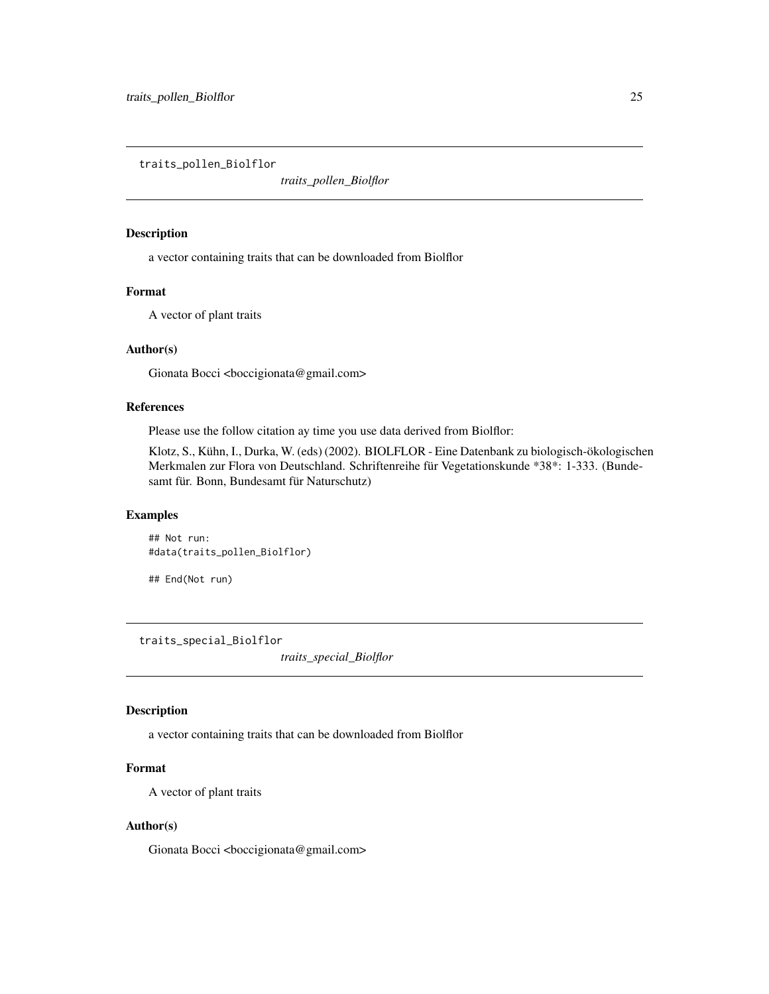<span id="page-24-0"></span>traits\_pollen\_Biolflor

*traits\_pollen\_Biolflor*

# Description

a vector containing traits that can be downloaded from Biolflor

#### Format

A vector of plant traits

# Author(s)

Gionata Bocci <br/>boccigionata@gmail.com>

# References

Please use the follow citation ay time you use data derived from Biolflor:

Klotz, S., Kühn, I., Durka, W. (eds) (2002). BIOLFLOR - Eine Datenbank zu biologisch-ökologischen Merkmalen zur Flora von Deutschland. Schriftenreihe für Vegetationskunde \*38\*: 1-333. (Bundesamt für. Bonn, Bundesamt für Naturschutz)

# Examples

## Not run: #data(traits\_pollen\_Biolflor)

## End(Not run)

traits\_special\_Biolflor

*traits\_special\_Biolflor*

# Description

a vector containing traits that can be downloaded from Biolflor

# Format

A vector of plant traits

# Author(s)

Gionata Bocci <br/> <br/>boccigionata@gmail.com>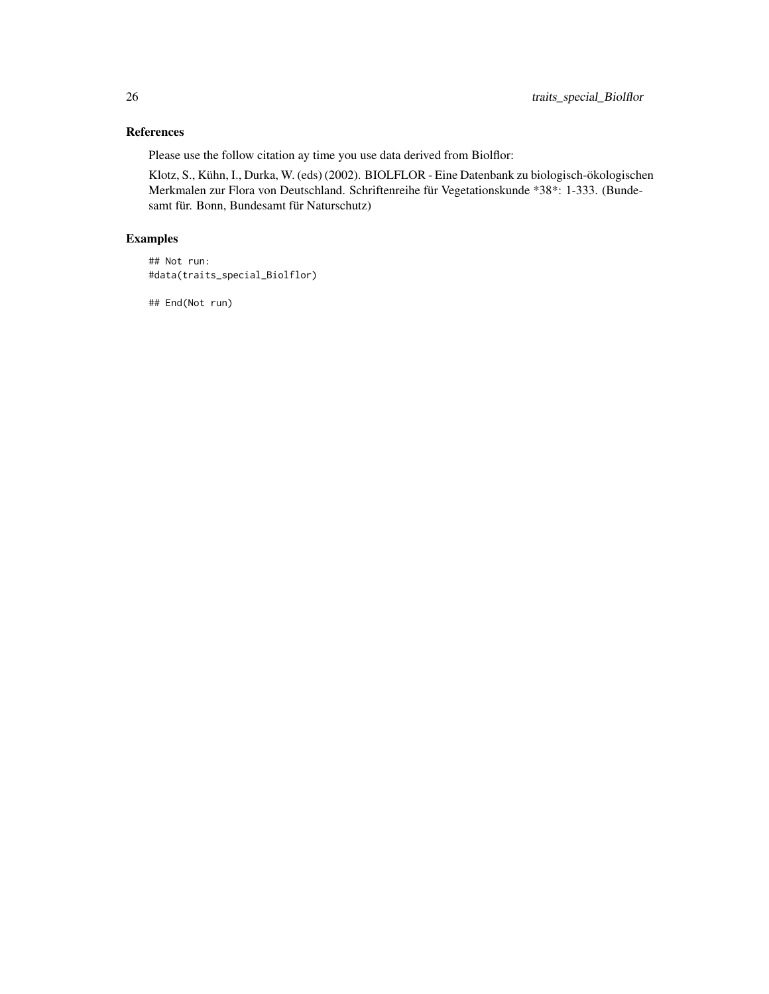# References

Please use the follow citation ay time you use data derived from Biolflor:

Klotz, S., Kühn, I., Durka, W. (eds) (2002). BIOLFLOR - Eine Datenbank zu biologisch-ökologischen Merkmalen zur Flora von Deutschland. Schriftenreihe für Vegetationskunde \*38\*: 1-333. (Bundesamt für. Bonn, Bundesamt für Naturschutz)

# Examples

```
## Not run:
#data(traits_special_Biolflor)
```
## End(Not run)